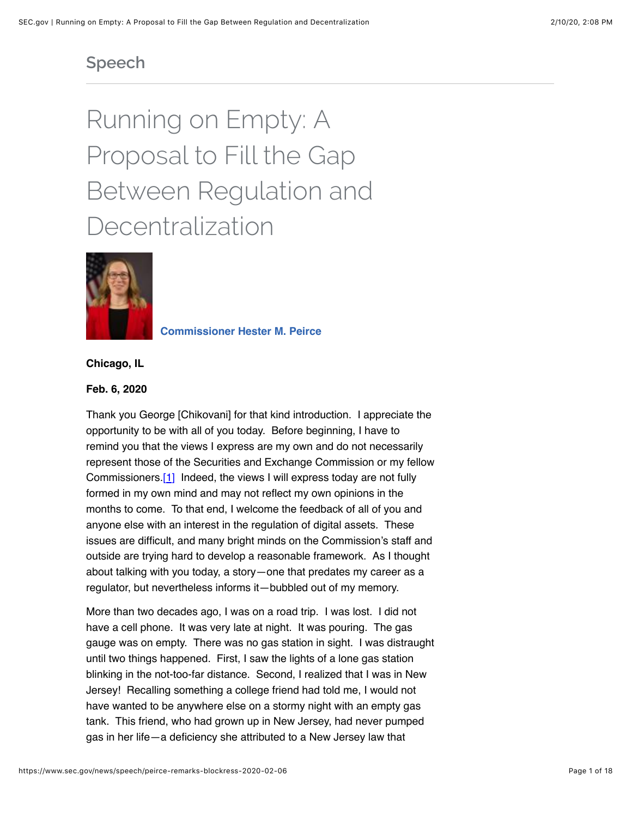# **[Speech](https://www.sec.gov/news/speeches)**

# Running on Empty: A Proposal to Fill the Gap Between Regulation and Decentralization



#### **[Commissioner Hester M. Peirce](https://www.sec.gov/biography/commissioner-hester-m-peirce)**

# **Chicago, IL**

#### **Feb. 6, 2020**

<span id="page-0-0"></span>Thank you George [Chikovani] for that kind introduction. I appreciate the opportunity to be with all of you today. Before beginning, I have to remind you that the views I express are my own and do not necessarily represent those of the Securities and Exchange Commission or my fellow Commissioners[.\[1\]](#page-15-0) Indeed, the views I will express today are not fully formed in my own mind and may not reflect my own opinions in the months to come. To that end, I welcome the feedback of all of you and anyone else with an interest in the regulation of digital assets. These issues are difficult, and many bright minds on the Commission's staff and outside are trying hard to develop a reasonable framework. As I thought about talking with you today, a story—one that predates my career as a regulator, but nevertheless informs it—bubbled out of my memory.

More than two decades ago, I was on a road trip. I was lost. I did not have a cell phone. It was very late at night. It was pouring. The gas gauge was on empty. There was no gas station in sight. I was distraught until two things happened. First, I saw the lights of a lone gas station blinking in the not-too-far distance. Second, I realized that I was in New Jersey! Recalling something a college friend had told me, I would not have wanted to be anywhere else on a stormy night with an empty gas tank. This friend, who had grown up in New Jersey, had never pumped gas in her life—a deficiency she attributed to a New Jersey law that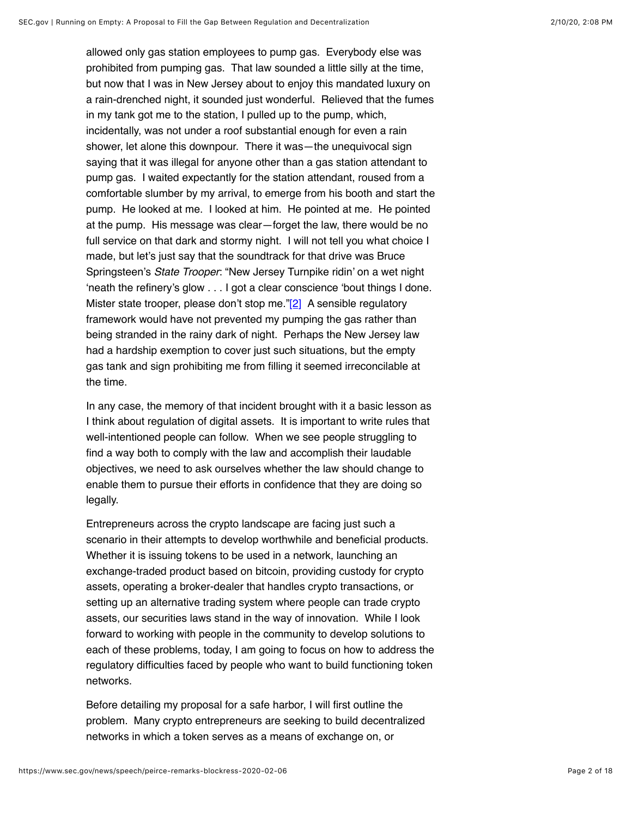allowed only gas station employees to pump gas. Everybody else was prohibited from pumping gas. That law sounded a little silly at the time, but now that I was in New Jersey about to enjoy this mandated luxury on a rain-drenched night, it sounded just wonderful. Relieved that the fumes in my tank got me to the station, I pulled up to the pump, which, incidentally, was not under a roof substantial enough for even a rain shower, let alone this downpour. There it was—the unequivocal sign saying that it was illegal for anyone other than a gas station attendant to pump gas. I waited expectantly for the station attendant, roused from a comfortable slumber by my arrival, to emerge from his booth and start the pump. He looked at me. I looked at him. He pointed at me. He pointed at the pump. His message was clear—forget the law, there would be no full service on that dark and stormy night. I will not tell you what choice I made, but let's just say that the soundtrack for that drive was Bruce Springsteen's *State Trooper*: "New Jersey Turnpike ridin' on a wet night 'neath the refinery's glow . . . I got a clear conscience 'bout things I done. Mister state trooper, please don't stop me." $[2]$  A sensible regulatory framework would have not prevented my pumping the gas rather than being stranded in the rainy dark of night. Perhaps the New Jersey law had a hardship exemption to cover just such situations, but the empty gas tank and sign prohibiting me from filling it seemed irreconcilable at the time.

<span id="page-1-0"></span>In any case, the memory of that incident brought with it a basic lesson as I think about regulation of digital assets. It is important to write rules that well-intentioned people can follow. When we see people struggling to find a way both to comply with the law and accomplish their laudable objectives, we need to ask ourselves whether the law should change to enable them to pursue their efforts in confidence that they are doing so legally.

Entrepreneurs across the crypto landscape are facing just such a scenario in their attempts to develop worthwhile and beneficial products. Whether it is issuing tokens to be used in a network, launching an exchange-traded product based on bitcoin, providing custody for crypto assets, operating a broker-dealer that handles crypto transactions, or setting up an alternative trading system where people can trade crypto assets, our securities laws stand in the way of innovation. While I look forward to working with people in the community to develop solutions to each of these problems, today, I am going to focus on how to address the regulatory difficulties faced by people who want to build functioning token networks.

Before detailing my proposal for a safe harbor, I will first outline the problem. Many crypto entrepreneurs are seeking to build decentralized networks in which a token serves as a means of exchange on, or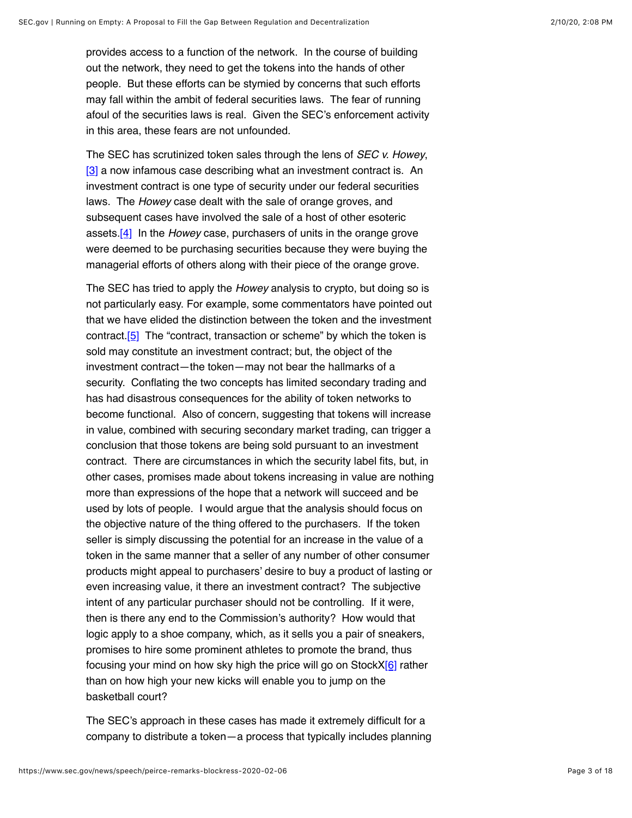provides access to a function of the network. In the course of building out the network, they need to get the tokens into the hands of other people. But these efforts can be stymied by concerns that such efforts may fall within the ambit of federal securities laws. The fear of running afoul of the securities laws is real. Given the SEC's enforcement activity in this area, these fears are not unfounded.

<span id="page-2-0"></span>The SEC has scrutinized token sales through the lens of *SEC v. Howey*, [\[3\]](#page-15-2) a now infamous case describing what an investment contract is. An investment contract is one type of security under our federal securities laws. The *Howey* case dealt with the sale of orange groves, and subsequent cases have involved the sale of a host of other esoteric assets[.\[4\]](#page-15-3) In the *Howey* case, purchasers of units in the orange grove were deemed to be purchasing securities because they were buying the managerial efforts of others along with their piece of the orange grove.

<span id="page-2-2"></span><span id="page-2-1"></span>The SEC has tried to apply the *Howey* analysis to crypto, but doing so is not particularly easy. For example, some commentators have pointed out that we have elided the distinction between the token and the investment contract[.\[5\]](#page-15-4) The "contract, transaction or scheme" by which the token is sold may constitute an investment contract; but, the object of the investment contract—the token—may not bear the hallmarks of a security. Conflating the two concepts has limited secondary trading and has had disastrous consequences for the ability of token networks to become functional. Also of concern, suggesting that tokens will increase in value, combined with securing secondary market trading, can trigger a conclusion that those tokens are being sold pursuant to an investment contract. There are circumstances in which the security label fits, but, in other cases, promises made about tokens increasing in value are nothing more than expressions of the hope that a network will succeed and be used by lots of people. I would argue that the analysis should focus on the objective nature of the thing offered to the purchasers. If the token seller is simply discussing the potential for an increase in the value of a token in the same manner that a seller of any number of other consumer products might appeal to purchasers' desire to buy a product of lasting or even increasing value, it there an investment contract? The subjective intent of any particular purchaser should not be controlling. If it were, then is there any end to the Commission's authority? How would that logic apply to a shoe company, which, as it sells you a pair of sneakers, promises to hire some prominent athletes to promote the brand, thus focusing your mind on how sky high the price will go on Stock[X\[6\]](#page-15-5) rather than on how high your new kicks will enable you to jump on the basketball court?

<span id="page-2-3"></span>The SEC's approach in these cases has made it extremely difficult for a company to distribute a token—a process that typically includes planning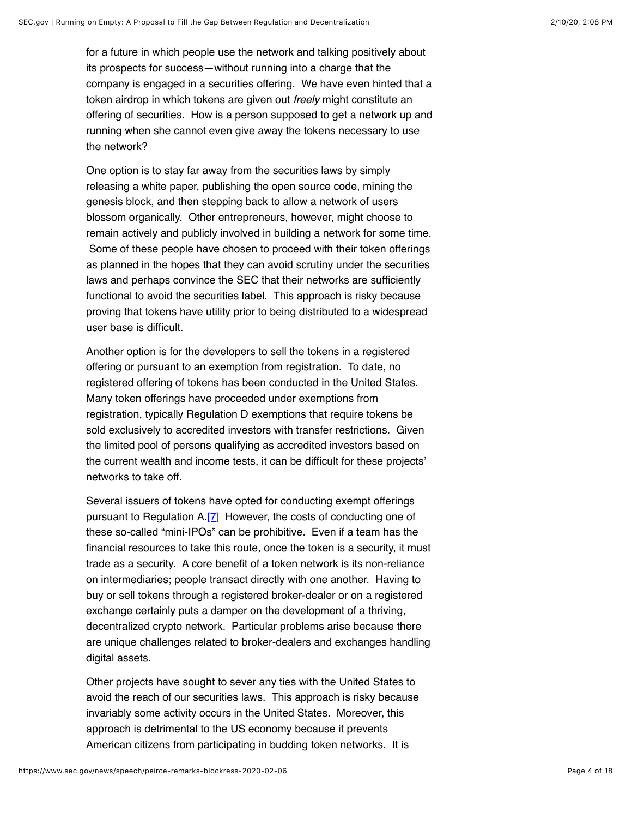for a future in which people use the network and talking positively about its prospects for success—without running into a charge that the company is engaged in a securities offering. We have even hinted that a token airdrop in which tokens are given out *freely* might constitute an offering of securities. How is a person supposed to get a network up and running when she cannot even give away the tokens necessary to use the network?

One option is to stay far away from the securities laws by simply releasing a white paper, publishing the open source code, mining the genesis block, and then stepping back to allow a network of users blossom organically. Other entrepreneurs, however, might choose to remain actively and publicly involved in building a network for some time. Some of these people have chosen to proceed with their token offerings as planned in the hopes that they can avoid scrutiny under the securities laws and perhaps convince the SEC that their networks are sufficiently functional to avoid the securities label. This approach is risky because proving that tokens have utility prior to being distributed to a widespread user base is difficult.

Another option is for the developers to sell the tokens in a registered offering or pursuant to an exemption from registration. To date, no registered offering of tokens has been conducted in the United States. Many token offerings have proceeded under exemptions from registration, typically Regulation D exemptions that require tokens be sold exclusively to accredited investors with transfer restrictions. Given the limited pool of persons qualifying as accredited investors based on the current wealth and income tests, it can be difficult for these projects' networks to take off.

<span id="page-3-0"></span>Several issuers of tokens have opted for conducting exempt offerings pursuant to Regulation  $A.[7]$  $A.[7]$  However, the costs of conducting one of these so-called "mini-IPOs" can be prohibitive. Even if a team has the financial resources to take this route, once the token is a security, it must trade as a security. A core benefit of a token network is its non-reliance on intermediaries; people transact directly with one another. Having to buy or sell tokens through a registered broker-dealer or on a registered exchange certainly puts a damper on the development of a thriving, decentralized crypto network. Particular problems arise because there are unique challenges related to broker-dealers and exchanges handling digital assets.

Other projects have sought to sever any ties with the United States to avoid the reach of our securities laws. This approach is risky because invariably some activity occurs in the United States. Moreover, this approach is detrimental to the US economy because it prevents American citizens from participating in budding token networks. It is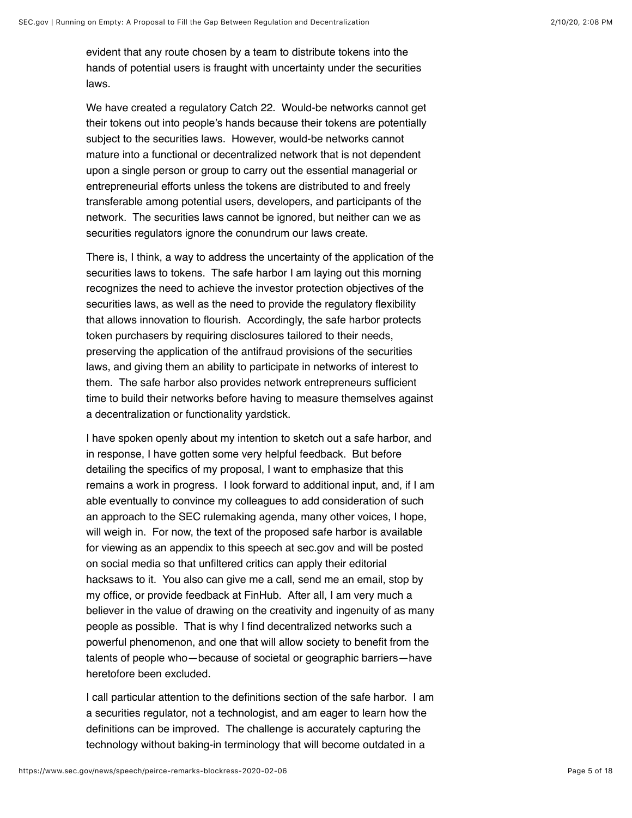evident that any route chosen by a team to distribute tokens into the hands of potential users is fraught with uncertainty under the securities laws.

We have created a regulatory Catch 22. Would-be networks cannot get their tokens out into people's hands because their tokens are potentially subject to the securities laws. However, would-be networks cannot mature into a functional or decentralized network that is not dependent upon a single person or group to carry out the essential managerial or entrepreneurial efforts unless the tokens are distributed to and freely transferable among potential users, developers, and participants of the network. The securities laws cannot be ignored, but neither can we as securities regulators ignore the conundrum our laws create.

There is, I think, a way to address the uncertainty of the application of the securities laws to tokens. The safe harbor I am laying out this morning recognizes the need to achieve the investor protection objectives of the securities laws, as well as the need to provide the regulatory flexibility that allows innovation to flourish. Accordingly, the safe harbor protects token purchasers by requiring disclosures tailored to their needs, preserving the application of the antifraud provisions of the securities laws, and giving them an ability to participate in networks of interest to them. The safe harbor also provides network entrepreneurs sufficient time to build their networks before having to measure themselves against a decentralization or functionality yardstick.

I have spoken openly about my intention to sketch out a safe harbor, and in response, I have gotten some very helpful feedback. But before detailing the specifics of my proposal, I want to emphasize that this remains a work in progress. I look forward to additional input, and, if I am able eventually to convince my colleagues to add consideration of such an approach to the SEC rulemaking agenda, many other voices, I hope, will weigh in. For now, the text of the proposed safe harbor is available for viewing as an appendix to this speech at sec.gov and will be posted on social media so that unfiltered critics can apply their editorial hacksaws to it. You also can give me a call, send me an email, stop by my office, or provide feedback at FinHub. After all, I am very much a believer in the value of drawing on the creativity and ingenuity of as many people as possible. That is why I find decentralized networks such a powerful phenomenon, and one that will allow society to benefit from the talents of people who—because of societal or geographic barriers—have heretofore been excluded.

I call particular attention to the definitions section of the safe harbor. I am a securities regulator, not a technologist, and am eager to learn how the definitions can be improved. The challenge is accurately capturing the technology without baking-in terminology that will become outdated in a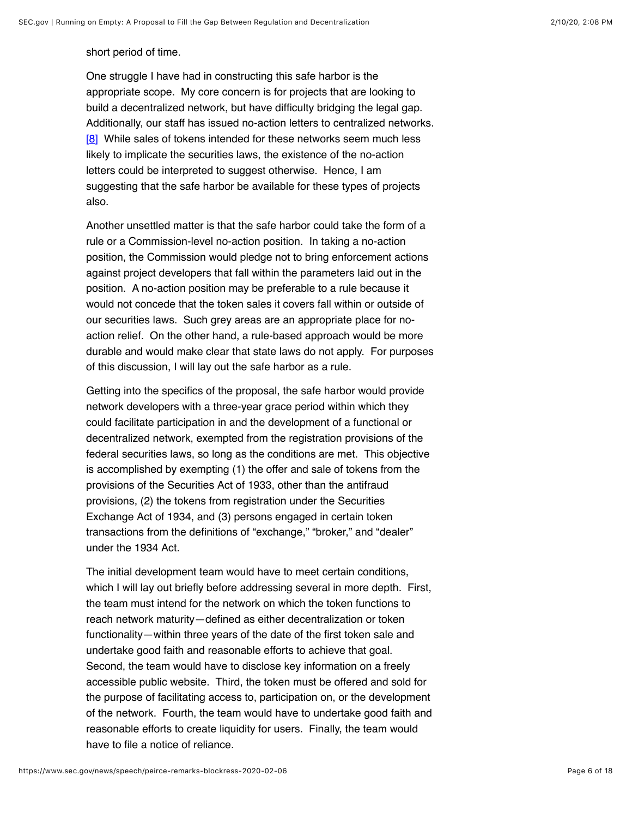short period of time.

<span id="page-5-0"></span>One struggle I have had in constructing this safe harbor is the appropriate scope. My core concern is for projects that are looking to build a decentralized network, but have difficulty bridging the legal gap. Additionally, our staff has issued no-action letters to centralized networks. [\[8\]](#page-16-0) While sales of tokens intended for these networks seem much less likely to implicate the securities laws, the existence of the no-action letters could be interpreted to suggest otherwise. Hence, I am suggesting that the safe harbor be available for these types of projects also.

Another unsettled matter is that the safe harbor could take the form of a rule or a Commission-level no-action position. In taking a no-action position, the Commission would pledge not to bring enforcement actions against project developers that fall within the parameters laid out in the position. A no-action position may be preferable to a rule because it would not concede that the token sales it covers fall within or outside of our securities laws. Such grey areas are an appropriate place for noaction relief. On the other hand, a rule-based approach would be more durable and would make clear that state laws do not apply. For purposes of this discussion, I will lay out the safe harbor as a rule.

Getting into the specifics of the proposal, the safe harbor would provide network developers with a three-year grace period within which they could facilitate participation in and the development of a functional or decentralized network, exempted from the registration provisions of the federal securities laws, so long as the conditions are met. This objective is accomplished by exempting (1) the offer and sale of tokens from the provisions of the Securities Act of 1933, other than the antifraud provisions, (2) the tokens from registration under the Securities Exchange Act of 1934, and (3) persons engaged in certain token transactions from the definitions of "exchange," "broker," and "dealer" under the 1934 Act.

The initial development team would have to meet certain conditions, which I will lay out briefly before addressing several in more depth. First, the team must intend for the network on which the token functions to reach network maturity—defined as either decentralization or token functionality—within three years of the date of the first token sale and undertake good faith and reasonable efforts to achieve that goal. Second, the team would have to disclose key information on a freely accessible public website. Third, the token must be offered and sold for the purpose of facilitating access to, participation on, or the development of the network. Fourth, the team would have to undertake good faith and reasonable efforts to create liquidity for users. Finally, the team would have to file a notice of reliance.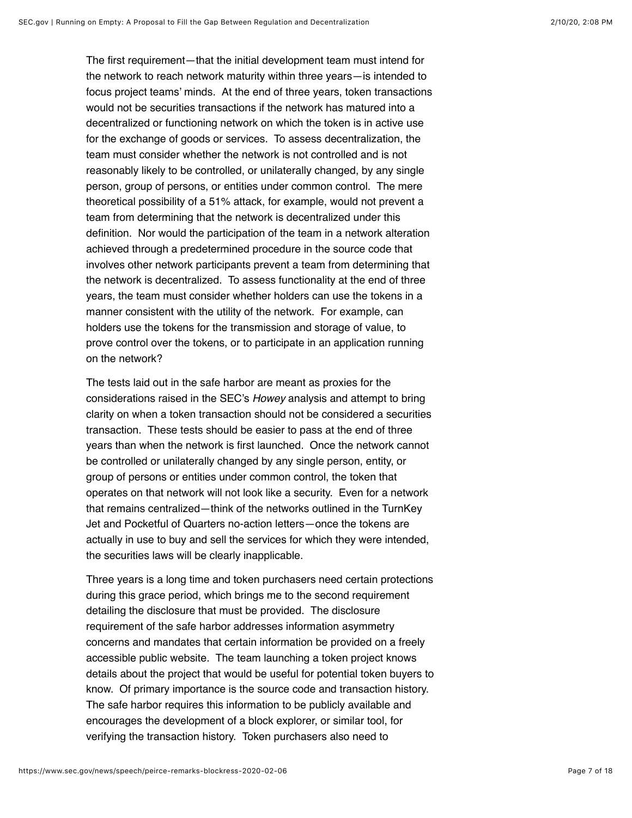The first requirement—that the initial development team must intend for the network to reach network maturity within three years—is intended to focus project teams' minds. At the end of three years, token transactions would not be securities transactions if the network has matured into a decentralized or functioning network on which the token is in active use for the exchange of goods or services. To assess decentralization, the team must consider whether the network is not controlled and is not reasonably likely to be controlled, or unilaterally changed, by any single person, group of persons, or entities under common control. The mere theoretical possibility of a 51% attack, for example, would not prevent a team from determining that the network is decentralized under this definition. Nor would the participation of the team in a network alteration achieved through a predetermined procedure in the source code that involves other network participants prevent a team from determining that the network is decentralized. To assess functionality at the end of three years, the team must consider whether holders can use the tokens in a manner consistent with the utility of the network. For example, can holders use the tokens for the transmission and storage of value, to prove control over the tokens, or to participate in an application running on the network?

The tests laid out in the safe harbor are meant as proxies for the considerations raised in the SEC's *Howey* analysis and attempt to bring clarity on when a token transaction should not be considered a securities transaction. These tests should be easier to pass at the end of three years than when the network is first launched. Once the network cannot be controlled or unilaterally changed by any single person, entity, or group of persons or entities under common control, the token that operates on that network will not look like a security. Even for a network that remains centralized—think of the networks outlined in the TurnKey Jet and Pocketful of Quarters no-action letters—once the tokens are actually in use to buy and sell the services for which they were intended, the securities laws will be clearly inapplicable.

Three years is a long time and token purchasers need certain protections during this grace period, which brings me to the second requirement detailing the disclosure that must be provided. The disclosure requirement of the safe harbor addresses information asymmetry concerns and mandates that certain information be provided on a freely accessible public website. The team launching a token project knows details about the project that would be useful for potential token buyers to know. Of primary importance is the source code and transaction history. The safe harbor requires this information to be publicly available and encourages the development of a block explorer, or similar tool, for verifying the transaction history. Token purchasers also need to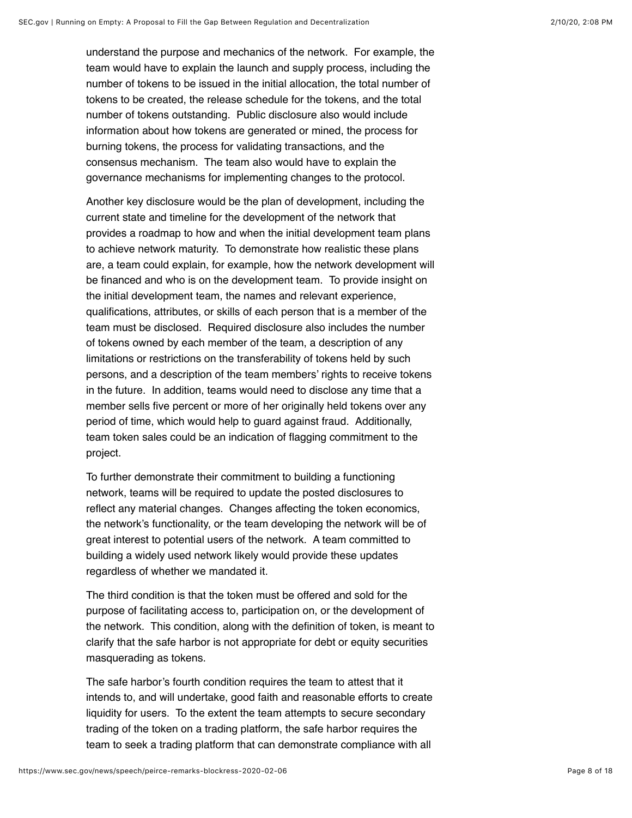understand the purpose and mechanics of the network. For example, the team would have to explain the launch and supply process, including the number of tokens to be issued in the initial allocation, the total number of tokens to be created, the release schedule for the tokens, and the total number of tokens outstanding. Public disclosure also would include information about how tokens are generated or mined, the process for burning tokens, the process for validating transactions, and the consensus mechanism. The team also would have to explain the governance mechanisms for implementing changes to the protocol.

Another key disclosure would be the plan of development, including the current state and timeline for the development of the network that provides a roadmap to how and when the initial development team plans to achieve network maturity. To demonstrate how realistic these plans are, a team could explain, for example, how the network development will be financed and who is on the development team. To provide insight on the initial development team, the names and relevant experience, qualifications, attributes, or skills of each person that is a member of the team must be disclosed. Required disclosure also includes the number of tokens owned by each member of the team, a description of any limitations or restrictions on the transferability of tokens held by such persons, and a description of the team members' rights to receive tokens in the future. In addition, teams would need to disclose any time that a member sells five percent or more of her originally held tokens over any period of time, which would help to guard against fraud. Additionally, team token sales could be an indication of flagging commitment to the project.

To further demonstrate their commitment to building a functioning network, teams will be required to update the posted disclosures to reflect any material changes. Changes affecting the token economics, the network's functionality, or the team developing the network will be of great interest to potential users of the network. A team committed to building a widely used network likely would provide these updates regardless of whether we mandated it.

The third condition is that the token must be offered and sold for the purpose of facilitating access to, participation on, or the development of the network. This condition, along with the definition of token, is meant to clarify that the safe harbor is not appropriate for debt or equity securities masquerading as tokens.

The safe harbor's fourth condition requires the team to attest that it intends to, and will undertake, good faith and reasonable efforts to create liquidity for users. To the extent the team attempts to secure secondary trading of the token on a trading platform, the safe harbor requires the team to seek a trading platform that can demonstrate compliance with all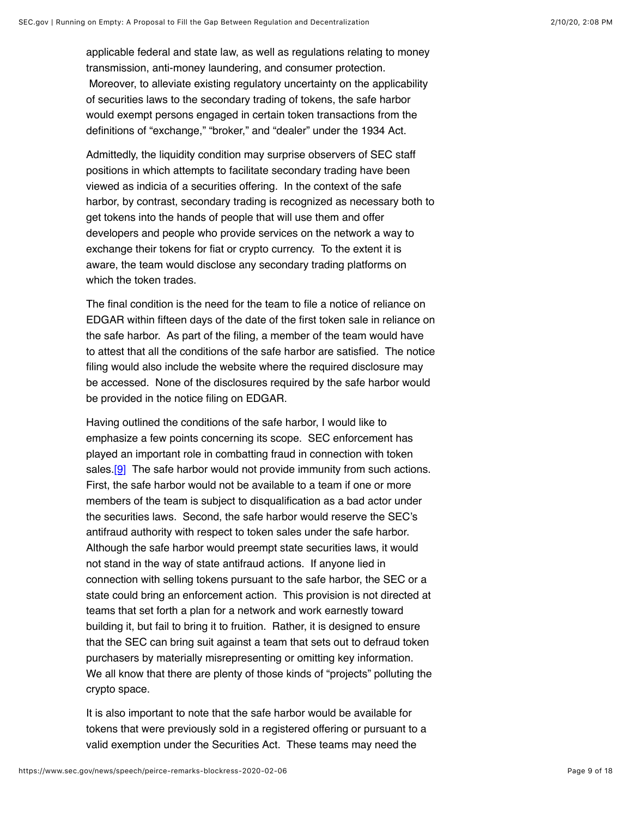applicable federal and state law, as well as regulations relating to money transmission, anti-money laundering, and consumer protection. Moreover, to alleviate existing regulatory uncertainty on the applicability of securities laws to the secondary trading of tokens, the safe harbor would exempt persons engaged in certain token transactions from the definitions of "exchange," "broker," and "dealer" under the 1934 Act.

Admittedly, the liquidity condition may surprise observers of SEC staff positions in which attempts to facilitate secondary trading have been viewed as indicia of a securities offering. In the context of the safe harbor, by contrast, secondary trading is recognized as necessary both to get tokens into the hands of people that will use them and offer developers and people who provide services on the network a way to exchange their tokens for fiat or crypto currency. To the extent it is aware, the team would disclose any secondary trading platforms on which the token trades.

The final condition is the need for the team to file a notice of reliance on EDGAR within fifteen days of the date of the first token sale in reliance on the safe harbor. As part of the filing, a member of the team would have to attest that all the conditions of the safe harbor are satisfied. The notice filing would also include the website where the required disclosure may be accessed. None of the disclosures required by the safe harbor would be provided in the notice filing on EDGAR.

<span id="page-8-0"></span>Having outlined the conditions of the safe harbor, I would like to emphasize a few points concerning its scope. SEC enforcement has played an important role in combatting fraud in connection with token sales.<sup>[\[9\]](#page-16-1)</sup> The safe harbor would not provide immunity from such actions. First, the safe harbor would not be available to a team if one or more members of the team is subject to disqualification as a bad actor under the securities laws. Second, the safe harbor would reserve the SEC's antifraud authority with respect to token sales under the safe harbor. Although the safe harbor would preempt state securities laws, it would not stand in the way of state antifraud actions. If anyone lied in connection with selling tokens pursuant to the safe harbor, the SEC or a state could bring an enforcement action. This provision is not directed at teams that set forth a plan for a network and work earnestly toward building it, but fail to bring it to fruition. Rather, it is designed to ensure that the SEC can bring suit against a team that sets out to defraud token purchasers by materially misrepresenting or omitting key information. We all know that there are plenty of those kinds of "projects" polluting the crypto space.

It is also important to note that the safe harbor would be available for tokens that were previously sold in a registered offering or pursuant to a valid exemption under the Securities Act. These teams may need the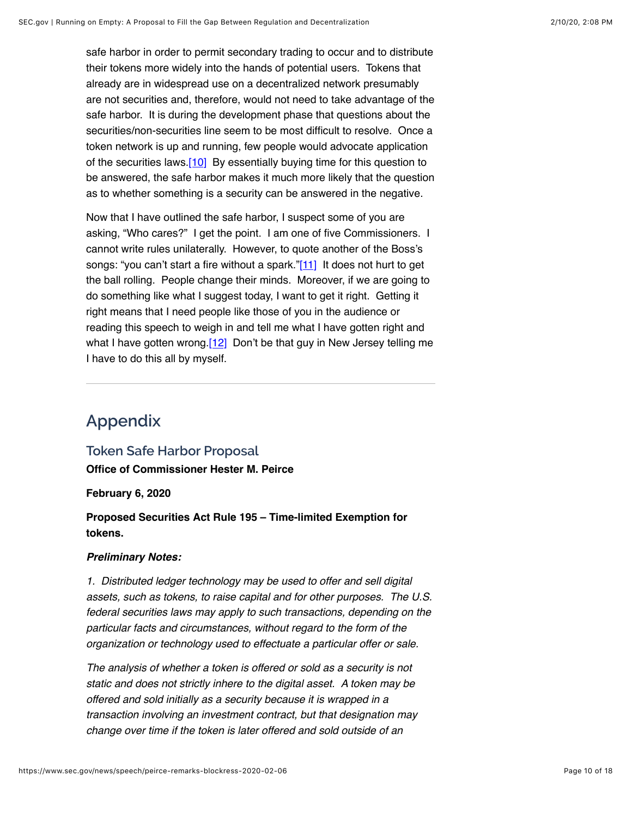safe harbor in order to permit secondary trading to occur and to distribute their tokens more widely into the hands of potential users. Tokens that already are in widespread use on a decentralized network presumably are not securities and, therefore, would not need to take advantage of the safe harbor. It is during the development phase that questions about the securities/non-securities line seem to be most difficult to resolve. Once a token network is up and running, few people would advocate application of the securities laws.<sup>[\[10\]](#page-16-2)</sup> By essentially buying time for this question to be answered, the safe harbor makes it much more likely that the question as to whether something is a security can be answered in the negative.

<span id="page-9-1"></span><span id="page-9-0"></span>Now that I have outlined the safe harbor, I suspect some of you are asking, "Who cares?" I get the point. I am one of five Commissioners. I cannot write rules unilaterally. However, to quote another of the Boss's songs: "you can't start a fire without a spark.["\[11\]](#page-16-3) It does not hurt to get the ball rolling. People change their minds. Moreover, if we are going to do something like what I suggest today, I want to get it right. Getting it right means that I need people like those of you in the audience or reading this speech to weigh in and tell me what I have gotten right and what I have gotten wrong.<sup>[12]</sup> Don't be that guy in New Jersey telling me I have to do this all by myself.

# <span id="page-9-2"></span>**Appendix**

**Token Safe Harbor Proposal**

**Office of Commissioner Hester M. Peirce**

**February 6, 2020**

**Proposed Securities Act Rule 195 – Time-limited Exemption for tokens.**

#### *Preliminary Notes:*

*1. Distributed ledger technology may be used to offer and sell digital assets, such as tokens, to raise capital and for other purposes. The U.S. federal securities laws may apply to such transactions, depending on the particular facts and circumstances, without regard to the form of the organization or technology used to effectuate a particular offer or sale.*

*The analysis of whether a token is offered or sold as a security is not static and does not strictly inhere to the digital asset. A token may be offered and sold initially as a security because it is wrapped in a transaction involving an investment contract, but that designation may change over time if the token is later offered and sold outside of an*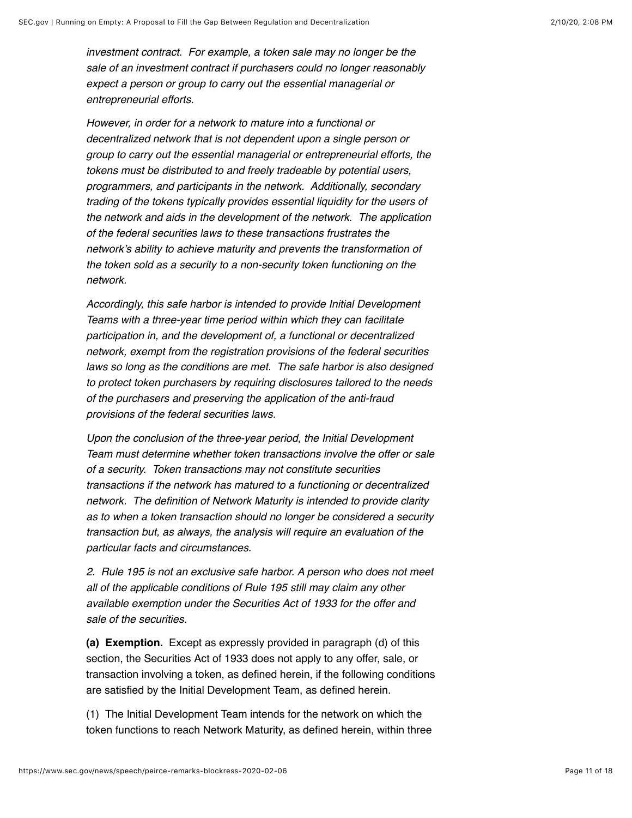*investment contract. For example, a token sale may no longer be the sale of an investment contract if purchasers could no longer reasonably expect a person or group to carry out the essential managerial or entrepreneurial efforts.*

*However, in order for a network to mature into a functional or decentralized network that is not dependent upon a single person or group to carry out the essential managerial or entrepreneurial efforts, the tokens must be distributed to and freely tradeable by potential users, programmers, and participants in the network. Additionally, secondary trading of the tokens typically provides essential liquidity for the users of the network and aids in the development of the network. The application of the federal securities laws to these transactions frustrates the network's ability to achieve maturity and prevents the transformation of the token sold as a security to a non-security token functioning on the network.*

*Accordingly, this safe harbor is intended to provide Initial Development Teams with a three-year time period within which they can facilitate participation in, and the development of, a functional or decentralized network, exempt from the registration provisions of the federal securities laws so long as the conditions are met. The safe harbor is also designed to protect token purchasers by requiring disclosures tailored to the needs of the purchasers and preserving the application of the anti-fraud provisions of the federal securities laws.*

*Upon the conclusion of the three-year period, the Initial Development Team must determine whether token transactions involve the offer or sale of a security. Token transactions may not constitute securities transactions if the network has matured to a functioning or decentralized network. The definition of Network Maturity is intended to provide clarity as to when a token transaction should no longer be considered a security transaction but, as always, the analysis will require an evaluation of the particular facts and circumstances.*

*2. Rule 195 is not an exclusive safe harbor. A person who does not meet all of the applicable conditions of Rule 195 still may claim any other available exemption under the Securities Act of 1933 for the offer and sale of the securities.*

**(a) Exemption.** Except as expressly provided in paragraph (d) of this section, the Securities Act of 1933 does not apply to any offer, sale, or transaction involving a token, as defined herein, if the following conditions are satisfied by the Initial Development Team, as defined herein.

(1) The Initial Development Team intends for the network on which the token functions to reach Network Maturity, as defined herein, within three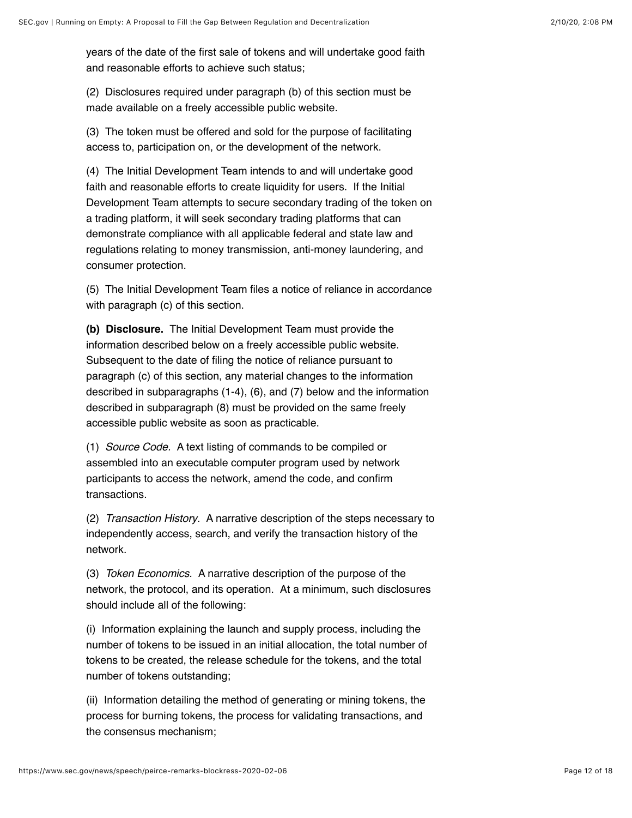years of the date of the first sale of tokens and will undertake good faith and reasonable efforts to achieve such status;

(2) Disclosures required under paragraph (b) of this section must be made available on a freely accessible public website.

(3) The token must be offered and sold for the purpose of facilitating access to, participation on, or the development of the network.

(4) The Initial Development Team intends to and will undertake good faith and reasonable efforts to create liquidity for users. If the Initial Development Team attempts to secure secondary trading of the token on a trading platform, it will seek secondary trading platforms that can demonstrate compliance with all applicable federal and state law and regulations relating to money transmission, anti-money laundering, and consumer protection.

(5) The Initial Development Team files a notice of reliance in accordance with paragraph (c) of this section.

**(b) Disclosure.** The Initial Development Team must provide the information described below on a freely accessible public website. Subsequent to the date of filing the notice of reliance pursuant to paragraph (c) of this section, any material changes to the information described in subparagraphs (1-4), (6), and (7) below and the information described in subparagraph (8) must be provided on the same freely accessible public website as soon as practicable.

(1) *Source Code.* A text listing of commands to be compiled or assembled into an executable computer program used by network participants to access the network, amend the code, and confirm transactions.

(2) *Transaction History*. A narrative description of the steps necessary to independently access, search, and verify the transaction history of the network.

(3) *Token Economics.* A narrative description of the purpose of the network, the protocol, and its operation. At a minimum, such disclosures should include all of the following:

(i) Information explaining the launch and supply process, including the number of tokens to be issued in an initial allocation, the total number of tokens to be created, the release schedule for the tokens, and the total number of tokens outstanding;

(ii) Information detailing the method of generating or mining tokens, the process for burning tokens, the process for validating transactions, and the consensus mechanism;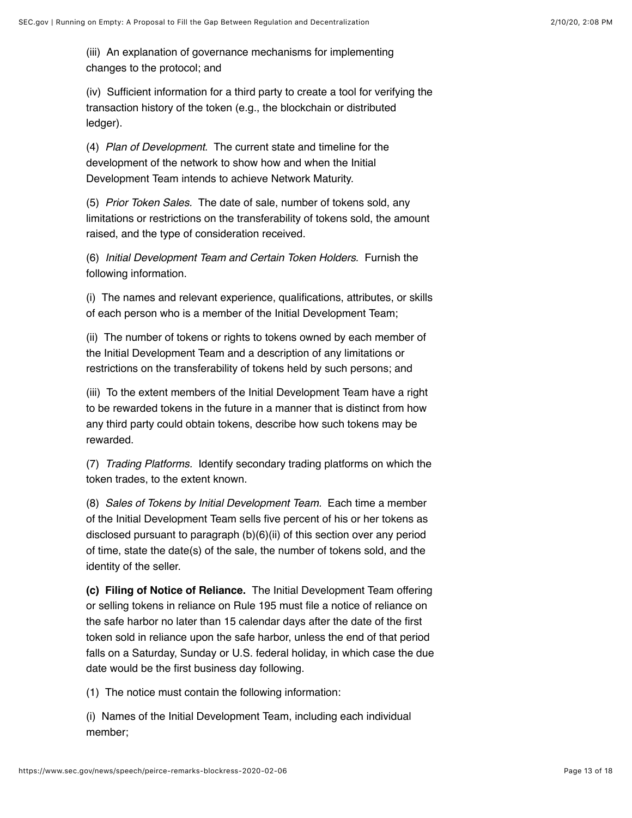(iii) An explanation of governance mechanisms for implementing changes to the protocol; and

(iv) Sufficient information for a third party to create a tool for verifying the transaction history of the token (e.g., the blockchain or distributed ledger).

(4) *Plan of Development.* The current state and timeline for the development of the network to show how and when the Initial Development Team intends to achieve Network Maturity.

(5) *Prior Token Sales.* The date of sale, number of tokens sold, any limitations or restrictions on the transferability of tokens sold, the amount raised, and the type of consideration received.

(6) *Initial Development Team and Certain Token Holders*. Furnish the following information.

(i) The names and relevant experience, qualifications, attributes, or skills of each person who is a member of the Initial Development Team;

(ii) The number of tokens or rights to tokens owned by each member of the Initial Development Team and a description of any limitations or restrictions on the transferability of tokens held by such persons; and

(iii) To the extent members of the Initial Development Team have a right to be rewarded tokens in the future in a manner that is distinct from how any third party could obtain tokens, describe how such tokens may be rewarded.

(7) *Trading Platforms.* Identify secondary trading platforms on which the token trades, to the extent known.

(8) *Sales of Tokens by Initial Development Team.* Each time a member of the Initial Development Team sells five percent of his or her tokens as disclosed pursuant to paragraph (b)(6)(ii) of this section over any period of time, state the date(s) of the sale, the number of tokens sold, and the identity of the seller.

**(c) Filing of Notice of Reliance.** The Initial Development Team offering or selling tokens in reliance on Rule 195 must file a notice of reliance on the safe harbor no later than 15 calendar days after the date of the first token sold in reliance upon the safe harbor, unless the end of that period falls on a Saturday, Sunday or U.S. federal holiday, in which case the due date would be the first business day following.

(1) The notice must contain the following information:

(i) Names of the Initial Development Team, including each individual member;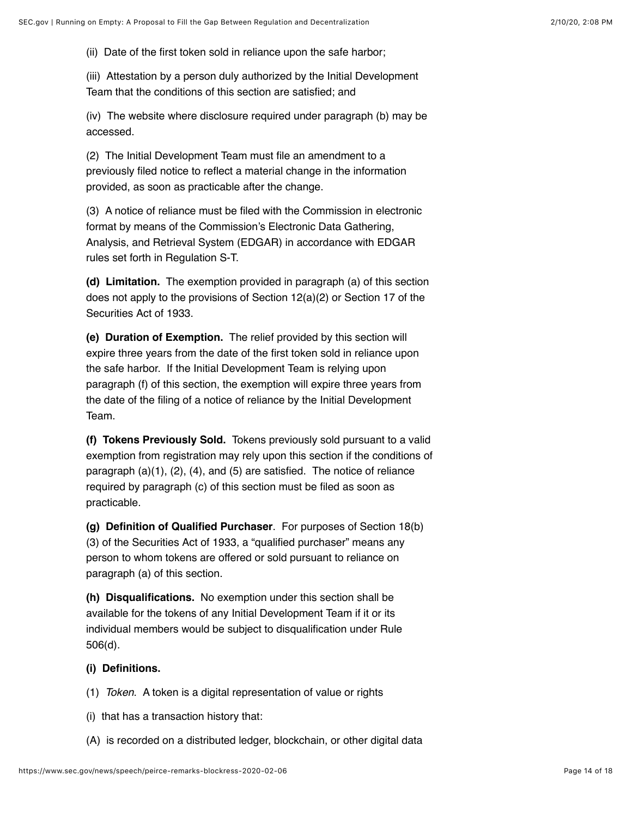(ii) Date of the first token sold in reliance upon the safe harbor;

(iii) Attestation by a person duly authorized by the Initial Development Team that the conditions of this section are satisfied; and

(iv) The website where disclosure required under paragraph (b) may be accessed.

(2) The Initial Development Team must file an amendment to a previously filed notice to reflect a material change in the information provided, as soon as practicable after the change.

(3) A notice of reliance must be filed with the Commission in electronic format by means of the Commission's Electronic Data Gathering, Analysis, and Retrieval System (EDGAR) in accordance with EDGAR rules set forth in Regulation S-T.

**(d) Limitation.** The exemption provided in paragraph (a) of this section does not apply to the provisions of Section 12(a)(2) or Section 17 of the Securities Act of 1933.

**(e) Duration of Exemption.** The relief provided by this section will expire three years from the date of the first token sold in reliance upon the safe harbor. If the Initial Development Team is relying upon paragraph (f) of this section, the exemption will expire three years from the date of the filing of a notice of reliance by the Initial Development Team.

**(f) Tokens Previously Sold.** Tokens previously sold pursuant to a valid exemption from registration may rely upon this section if the conditions of paragraph (a)(1), (2), (4), and (5) are satisfied. The notice of reliance required by paragraph (c) of this section must be filed as soon as practicable.

**(g) Definition of Qualified Purchaser**. For purposes of Section 18(b) (3) of the Securities Act of 1933, a "qualified purchaser" means any person to whom tokens are offered or sold pursuant to reliance on paragraph (a) of this section.

**(h) Disqualifications.** No exemption under this section shall be available for the tokens of any Initial Development Team if it or its individual members would be subject to disqualification under Rule 506(d).

#### **(i) Definitions.**

- (1) *Token*. A token is a digital representation of value or rights
- (i) that has a transaction history that:
- (A) is recorded on a distributed ledger, blockchain, or other digital data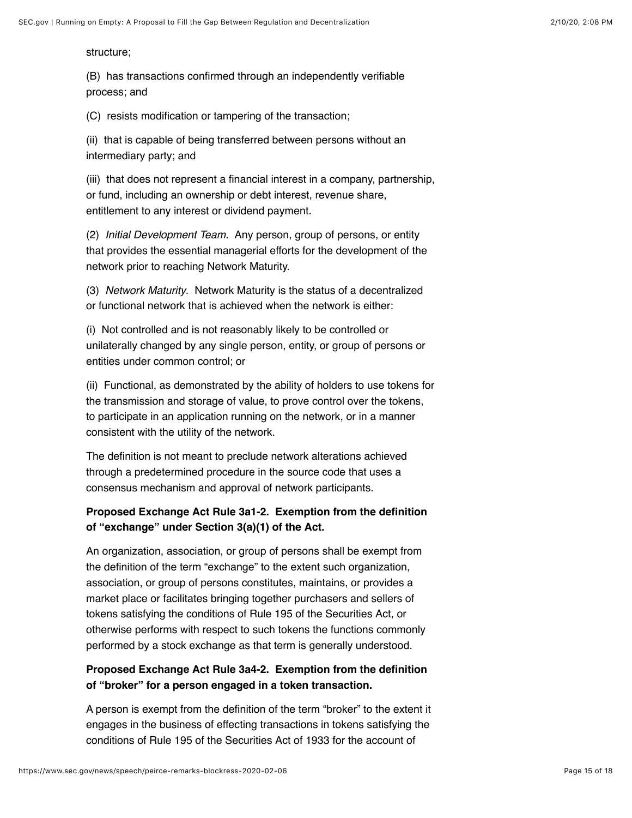structure;

(B) has transactions confirmed through an independently verifiable process; and

(C) resists modification or tampering of the transaction;

(ii) that is capable of being transferred between persons without an intermediary party; and

(iii) that does not represent a financial interest in a company, partnership, or fund, including an ownership or debt interest, revenue share, entitlement to any interest or dividend payment.

(2) *Initial Development Team*. Any person, group of persons, or entity that provides the essential managerial efforts for the development of the network prior to reaching Network Maturity.

(3) *Network Maturity*. Network Maturity is the status of a decentralized or functional network that is achieved when the network is either:

(i) Not controlled and is not reasonably likely to be controlled or unilaterally changed by any single person, entity, or group of persons or entities under common control; or

(ii) Functional, as demonstrated by the ability of holders to use tokens for the transmission and storage of value, to prove control over the tokens, to participate in an application running on the network, or in a manner consistent with the utility of the network.

The definition is not meant to preclude network alterations achieved through a predetermined procedure in the source code that uses a consensus mechanism and approval of network participants.

# **Proposed Exchange Act Rule 3a1-2. Exemption from the definition of "exchange" under Section 3(a)(1) of the Act.**

An organization, association, or group of persons shall be exempt from the definition of the term "exchange" to the extent such organization, association, or group of persons constitutes, maintains, or provides a market place or facilitates bringing together purchasers and sellers of tokens satisfying the conditions of Rule 195 of the Securities Act, or otherwise performs with respect to such tokens the functions commonly performed by a stock exchange as that term is generally understood.

### **Proposed Exchange Act Rule 3a4-2. Exemption from the definition of "broker" for a person engaged in a token transaction.**

A person is exempt from the definition of the term "broker" to the extent it engages in the business of effecting transactions in tokens satisfying the conditions of Rule 195 of the Securities Act of 1933 for the account of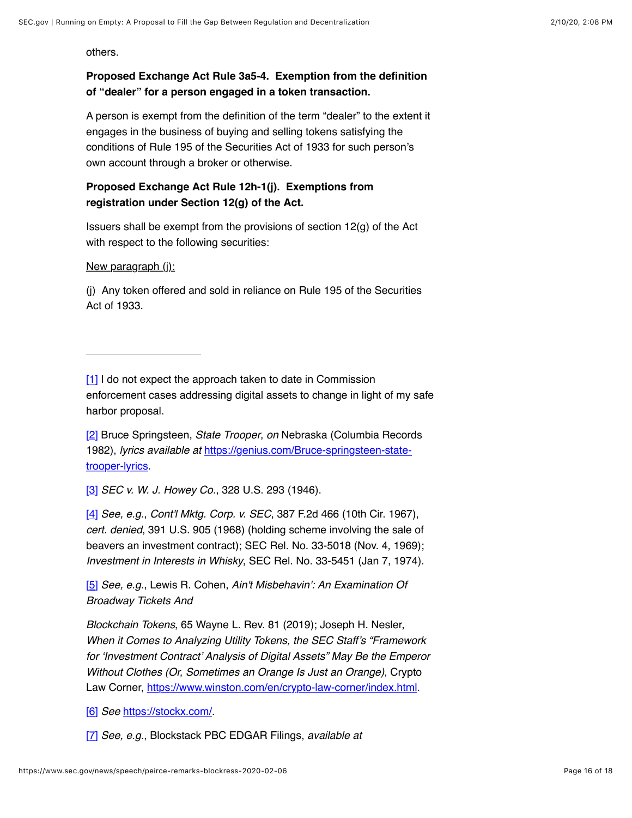others.

# **Proposed Exchange Act Rule 3a5-4. Exemption from the definition of "dealer" for a person engaged in a token transaction.**

A person is exempt from the definition of the term "dealer" to the extent it engages in the business of buying and selling tokens satisfying the conditions of Rule 195 of the Securities Act of 1933 for such person's own account through a broker or otherwise.

## **Proposed Exchange Act Rule 12h-1(j). Exemptions from registration under Section 12(g) of the Act.**

Issuers shall be exempt from the provisions of section 12(g) of the Act with respect to the following securities:

New paragraph (j):

(j) Any token offered and sold in reliance on Rule 195 of the Securities Act of 1933.

<span id="page-15-0"></span>[\[1\]](#page-0-0) I do not expect the approach taken to date in Commission enforcement cases addressing digital assets to change in light of my safe harbor proposal.

<span id="page-15-1"></span>[\[2\]](#page-1-0) Bruce Springsteen, *State Trooper*, *on* Nebraska (Columbia Records 1982), *lyrics available at* [https://genius.com/Bruce-springsteen-state](https://genius.com/Bruce-springsteen-state-trooper-lyrics)trooper-lyrics.

<span id="page-15-2"></span>[\[3\]](#page-2-0) *SEC v. W. J. Howey Co.*, 328 U.S. 293 (1946).

<span id="page-15-3"></span>[\[4\]](#page-2-1) *See, e.g.*, *Cont'l Mktg. Corp. v. SEC*, 387 F.2d 466 (10th Cir. 1967), *cert. denied*, 391 U.S. 905 (1968) (holding scheme involving the sale of beavers an investment contract); SEC Rel. No. 33-5018 (Nov. 4, 1969); *Investment in Interests in Whisky*, SEC Rel. No. 33-5451 (Jan 7, 1974).

<span id="page-15-4"></span>[\[5\]](#page-2-2) *See, e.g.*, Lewis R. Cohen, *Ain't Misbehavin': An Examination Of Broadway Tickets And*

*Blockchain Tokens*, 65 Wayne L. Rev. 81 (2019); Joseph H. Nesler, *When it Comes to Analyzing Utility Tokens, the SEC Staff's "Framework for 'Investment Contract' Analysis of Digital Assets" May Be the Emperor Without Clothes (Or, Sometimes an Orange Is Just an Orange)*, Crypto Law Corner,<https://www.winston.com/en/crypto-law-corner/index.html>.

<span id="page-15-5"></span>[\[6\]](#page-2-3) *See* <https://stockx.com/>.

<span id="page-15-6"></span>[\[7\]](#page-3-0) *See, e.g.*, Blockstack PBC EDGAR Filings, *available at*